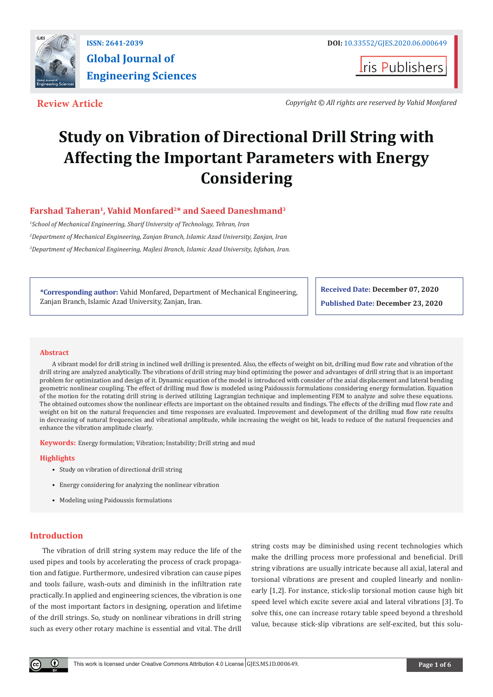

**Iris Publishers** 

**Review Article** *Copyright © All rights are reserved by Vahid Monfared*

# **Study on Vibration of Directional Drill String with Affecting the Important Parameters with Energy Considering**

### Farshad Taheran<sup>1</sup>, Vahid Monfared<sup>2\*</sup> and Saeed Daneshmand<sup>3</sup>

*1 School of Mechanical Engineering, Sharif University of Technology, Tehran, Iran 2 Department of Mechanical Engineering, Zanjan Branch, Islamic Azad University, Zanjan, Iran 3 Department of Mechanical Engineering, Majlesi Branch, Islamic Azad University, Isfahan, Iran.*

**\*Corresponding author:** Vahid Monfared, Department of Mechanical Engineering, Zanjan Branch, Islamic Azad University, Zanjan, Iran.

**Received Date: December 07, 2020 Published Date: December 23, 2020**

#### **Abstract**

A vibrant model for drill string in inclined well drilling is presented. Also, the effects of weight on bit, drilling mud flow rate and vibration of the drill string are analyzed analytically. The vibrations of drill string may bind optimizing the power and advantages of drill string that is an important problem for optimization and design of it. Dynamic equation of the model is introduced with consider of the axial displacement and lateral bending geometric nonlinear coupling. The effect of drilling mud flow is modeled using Paidoussis formulations considering energy formulation. Equation of the motion for the rotating drill string is derived utilizing Lagrangian technique and implementing FEM to analyze and solve these equations. The obtained outcomes show the nonlinear effects are important on the obtained results and findings. The effects of the drilling mud flow rate and weight on bit on the natural frequencies and time responses are evaluated. Improvement and development of the drilling mud flow rate results in decreasing of natural frequencies and vibrational amplitude, while increasing the weight on bit, leads to reduce of the natural frequencies and enhance the vibration amplitude clearly.

**Keywords:** Energy formulation; Vibration; Instability; Drill string and mud

#### **Highlights**

- Study on vibration of directional drill string
- Energy considering for analyzing the nonlinear vibration
- Modeling using Paidoussis formulations

### **Introduction**

The vibration of drill string system may reduce the life of the used pipes and tools by accelerating the process of crack propagation and fatigue. Furthermore, undesired vibration can cause pipes and tools failure, wash-outs and diminish in the infiltration rate practically. In applied and engineering sciences, the vibration is one of the most important factors in designing, operation and lifetime of the drill strings. So, study on nonlinear vibrations in drill string such as every other rotary machine is essential and vital. The drill

string costs may be diminished using recent technologies which make the drilling process more professional and beneficial. Drill string vibrations are usually intricate because all axial, lateral and torsional vibrations are present and coupled linearly and nonlinearly [1,2]. For instance, stick-slip torsional motion cause high bit speed level which excite severe axial and lateral vibrations [3]. To solve this, one can increase rotary table speed beyond a threshold value, because stick-slip vibrations are self-excited, but this solu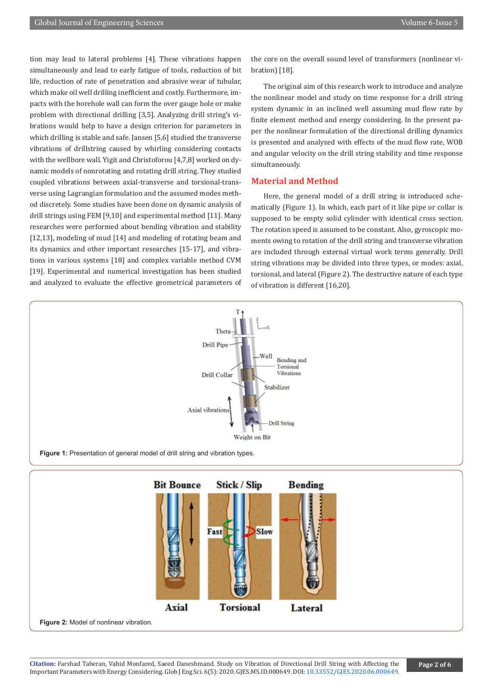tion may lead to lateral problems [4]. These vibrations happen simultaneously and lead to early fatigue of tools, reduction of bit life, reduction of rate of penetration and abrasive wear of tubular, which make oil well drilling inefficient and costly. Furthermore, impacts with the borehole wall can form the over gauge hole or make problem with directional drilling [3,5]. Analyzing drill string's vibrations would help to have a design criterion for parameters in which drilling is stable and safe. Jansen [5,6] studied the transverse vibrations of drillstring caused by whirling considering contacts with the wellbore wall. Yigit and Christoforou [4,7,8] worked on dynamic models of nonrotating and rotating drill string. They studied coupled vibrations between axial-transverse and torsional-transverse using Lagrangian formulation and the assumed modes method discretely. Some studies have been done on dynamic analysis of drill strings using FEM [9,10] and experimental method [11]. Many researches were performed about bending vibration and stability [12,13], modeling of mud [14] and modeling of rotating beam and its dynamics and other important researches [15-17], and vibrations in various systems [18] and complex variable method CVM [19]. Experimental and numerical investigation has been studied and analyzed to evaluate the effective geometrical parameters of the core on the overall sound level of transformers (nonlinear vibration) [18].

The original aim of this research work to introduce and analyze the nonlinear model and study on time response for a drill string system dynamic in an inclined well assuming mud flow rate by finite element method and energy considering. In the present paper the nonlinear formulation of the directional drilling dynamics is presented and analyzed with effects of the mud flow rate, WOB and angular velocity on the drill string stability and time response simultaneously.

#### **Material and Method**

Here, the general model of a drill string is introduced schematically (Figure 1). In which, each part of it like pipe or collar is supposed to be empty solid cylinder with identical cross section. The rotation speed is assumed to be constant. Also, gyroscopic moments owing to rotation of the drill string and transverse vibration are included through external virtual work terms generally. Drill string vibrations may be divided into three types, or modes: axial, torsional, and lateral (Figure 2). The destructive nature of each type of vibration is different [16,20].



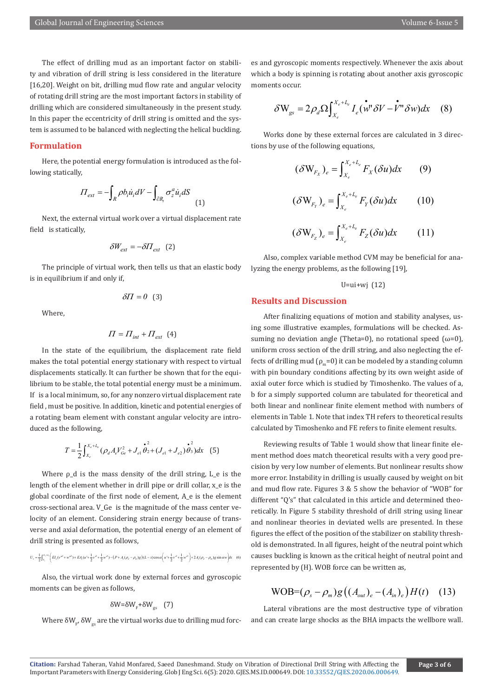The effect of drilling mud as an important factor on stability and vibration of drill string is less considered in the literature [16,20]. Weight on bit, drilling mud flow rate and angular velocity of rotating drill string are the most important factors in stability of drilling which are considered simultaneously in the present study. In this paper the eccentricity of drill string is omitted and the system is assumed to be balanced with neglecting the helical buckling.

#### **Formulation**

Here, the potential energy formulation is introduced as the following statically,

$$
\Pi_{ext} = -\int_{R} \rho b_{i} \dot{u}_{i} dV - \int_{\partial R_{i}} \sigma_{z}^{a} \dot{u}_{i} dS
$$
\n(1)

Next, the external virtual work over a virtual displacement rate field is statically,

$$
\delta W_{ext} = -\delta H_{ext} \quad (2)
$$

The principle of virtual work, then tells us that an elastic body is in equilibrium if and only if,

$$
\delta\!H=0\;\;\left(3\right)
$$

Where,

$$
\varPi=\varPi_{int}+\varPi_{ext}\;\;(4)
$$

In the state of the equilibrium, the displacement rate field makes the total potential energy stationary with respect to virtual displacements statically. It can further be shown that for the equilibrium to be stable, the total potential energy must be a minimum. If is a local minimum, so, for any nonzero virtual displacement rate field , must be positive. In addition, kinetic and potential energies of a rotating beam element with constant angular velocity are introduced as the following,

$$
T = \frac{1}{2} \int_{X_e}^{X_e + L_e} (\rho_d A_e V_{Ge}^2 + J_{el} \dot{\vec{\theta}}_2 + (J_{el} + J_{e2}) \dot{\vec{\theta}}_3) dx
$$
 (5)

Where ρ\_d is the mass density of the drill string, L\_e is the length of the element whether in drill pipe or drill collar, x\_e is the global coordinate of the first node of element, A\_e is the element cross-sectional area. V\_Ge is the magnitude of the mass center velocity of an element. Considering strain energy because of transverse and axial deformation, the potential energy of an element of drill string is presented as follows,

$$
U_{e} = \frac{1}{2} \int_{x_{e}}^{x_{e} + t_{e}} \left( E I_{e} (v^{*2} + w^{*2}) + E A_{e} (u^{+} + \frac{1}{2} v^{2} + \frac{1}{2} w^{2}) - \left( P + A_{e} (\rho_{d} - \rho_{m}) g \right) (L - x) \cos \alpha \left( u^{+} + \frac{1}{2} v^{2} + \frac{1}{2} w^{2} \right) + 2 A_{e} (\rho_{d} - \rho_{m}) g \sin \alpha w \right) dx
$$
 (6)

Also, the virtual work done by external forces and gyroscopic moments can be given as follows,

$$
\delta W{=}\delta W_{\rm F}{+}\delta W_{\rm gs}\quad (7)
$$

Where  $\delta W_{_{\rm F}}$ ,  $\delta W_{_{\rm gs}}$  are the virtual works due to drilling mud forc-

es and gyroscopic moments respectively. Whenever the axis about which a body is spinning is rotating about another axis gyroscopic moments occur.

$$
\delta \mathbf{W}_{gs} = 2\rho_d \Omega \int_{X_e}^{X_e + L_e} I_e(\mathbf{w}^{\mathbf{v}} \delta V - \mathbf{V}^{\mathbf{v}} \delta w) dx \quad (8)
$$

Works done by these external forces are calculated in 3 directions by use of the following equations,

$$
(\delta W_{F_X})_e = \int_{X_e}^{X_e + L_e} F_X(\delta u) dx \qquad (9)
$$

$$
(\delta W_{F_Y})_e = \int_{X_e}^{X_e + L_e} F_Y(\delta u) dx \qquad (10)
$$

$$
(\delta \mathbf{W}_{F_Z})_e = \int_{X_e}^{X_e + L_e} F_Z(\delta u) dx \qquad (11)
$$

Also, complex variable method CVM may be beneficial for analyzing the energy problems, as the following [19],

$$
U=u_i+ w_j
$$
 (12)

#### **Results and Discussion**

After finalizing equations of motion and stability analyses, using some illustrative examples, formulations will be checked. Assuming no deviation angle (Theta=0), no rotational speed ( $\omega$ =0), uniform cross section of the drill string, and also neglecting the effects of drilling mud ( $\rho_m$ =0) it can be modeled by a standing column with pin boundary conditions affecting by its own weight aside of axial outer force which is studied by Timoshenko. The values of a, b for a simply supported column are tabulated for theoretical and both linear and nonlinear finite element method with numbers of elements in Table 1. Note that index TH refers to theoretical results calculated by Timoshenko and FE refers to finite element results.

Reviewing results of Table 1 would show that linear finite element method does match theoretical results with a very good precision by very low number of elements. But nonlinear results show more error. Instability in drilling is usually caused by weight on bit and mud flow rate. Figures 3 & 5 show the behavior of "WOB" for different "Q's" that calculated in this article and determined theoretically. In Figure 5 stability threshold of drill string using linear and nonlinear theories in deviated wells are presented. In these figures the effect of the position of the stabilizer on stability threshold is demonstrated. In all figures, height of the neutral point which causes buckling is known as the critical height of neutral point and represented by (H). WOB force can be written as,

## $WOB=(\rho_{s}-\rho_{m})g((A_{out})_{e}-(A_{in})_{e})H(t)$  (13)

Lateral vibrations are the most destructive type of vibration and can create large shocks as the BHA impacts the wellbore wall.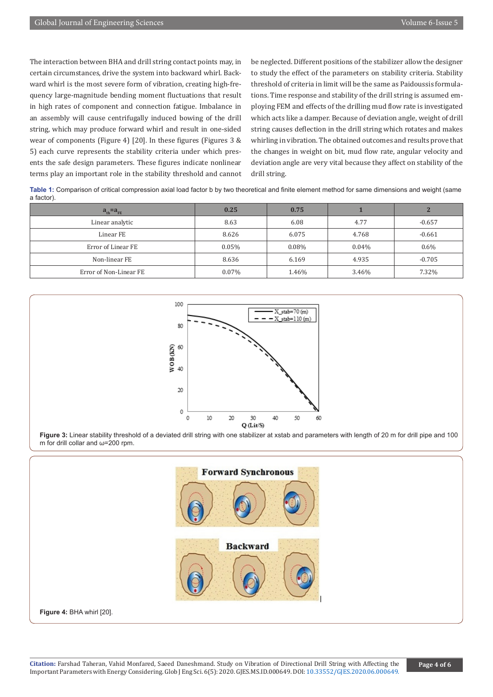The interaction between BHA and drill string contact points may, in certain circumstances, drive the system into backward whirl. Backward whirl is the most severe form of vibration, creating high-frequency large-magnitude bending moment fluctuations that result in high rates of component and connection fatigue. Imbalance in an assembly will cause centrifugally induced bowing of the drill string, which may produce forward whirl and result in one-sided wear of components (Figure 4) [20]. In these figures (Figures 3 & 5) each curve represents the stability criteria under which presents the safe design parameters. These figures indicate nonlinear terms play an important role in the stability threshold and cannot be neglected. Different positions of the stabilizer allow the designer to study the effect of the parameters on stability criteria. Stability threshold of criteria in limit will be the same as Paidoussis formulations. Time response and stability of the drill string is assumed employing FEM and effects of the drilling mud flow rate is investigated which acts like a damper. Because of deviation angle, weight of drill string causes deflection in the drill string which rotates and makes whirling in vibration. The obtained outcomes and results prove that the changes in weight on bit, mud flow rate, angular velocity and deviation angle are very vital because they affect on stability of the drill string.

**Table 1:** Comparison of critical compression axial load factor b by two theoretical and finite element method for same dimensions and weight (same a factor).

| $a_{\text{th}} = a_{\text{FE}}$ | 0.25     | 0.75  |          |          |
|---------------------------------|----------|-------|----------|----------|
| Linear analytic                 | 8.63     | 6.08  | 4.77     | $-0.657$ |
| Linear FE                       | 8.626    | 6.075 | 4.768    | $-0.661$ |
| Error of Linear FE              | $0.05\%$ | 0.08% | $0.04\%$ | $0.6\%$  |
| Non-linear FE                   | 8.636    | 6.169 | 4.935    | $-0.705$ |
| Error of Non-Linear FE          | 0.07%    | 1.46% | 3.46%    | 7.32%    |



**Figure 3:** Linear stability threshold of a deviated drill string with one stabilizer at xstab and parameters with length of 20 m for drill pipe and 100 m for drill collar and ω=200 rpm.

**Forward Synchronous Backward Figure 4:** BHA whirl [20].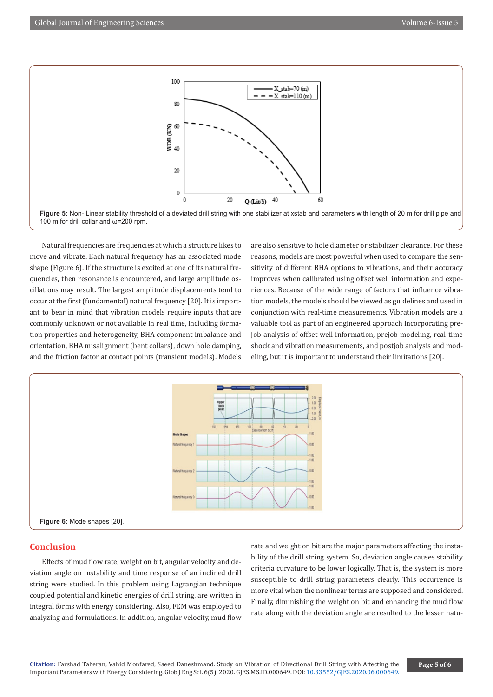

**Figure 5:** Non- Linear stability threshold of a deviated drill string with one stabilizer at xstab and parameters with length of 20 m for drill pipe and 100 m for drill collar and ω=200 rpm.

Natural frequencies are frequencies at which a structure likes to move and vibrate. Each natural frequency has an associated mode shape (Figure 6). If the structure is excited at one of its natural frequencies, then resonance is encountered, and large amplitude oscillations may result. The largest amplitude displacements tend to occur at the first (fundamental) natural frequency [20]. It is important to bear in mind that vibration models require inputs that are commonly unknown or not available in real time, including formation properties and heterogeneity, BHA component imbalance and orientation, BHA misalignment (bent collars), down hole damping, and the friction factor at contact points (transient models). Models

are also sensitive to hole diameter or stabilizer clearance. For these reasons, models are most powerful when used to compare the sensitivity of different BHA options to vibrations, and their accuracy improves when calibrated using offset well information and experiences. Because of the wide range of factors that influence vibration models, the models should be viewed as guidelines and used in conjunction with real-time measurements. Vibration models are a valuable tool as part of an engineered approach incorporating prejob analysis of offset well information, prejob modeling, real-time shock and vibration measurements, and postjob analysis and modeling, but it is important to understand their limitations [20].



#### **Conclusion**

Effects of mud flow rate, weight on bit, angular velocity and deviation angle on instability and time response of an inclined drill string were studied. In this problem using Lagrangian technique coupled potential and kinetic energies of drill string, are written in integral forms with energy considering. Also, FEM was employed to analyzing and formulations. In addition, angular velocity, mud flow rate and weight on bit are the major parameters affecting the instability of the drill string system. So, deviation angle causes stability criteria curvature to be lower logically. That is, the system is more susceptible to drill string parameters clearly. This occurrence is more vital when the nonlinear terms are supposed and considered. Finally, diminishing the weight on bit and enhancing the mud flow rate along with the deviation angle are resulted to the lesser natu